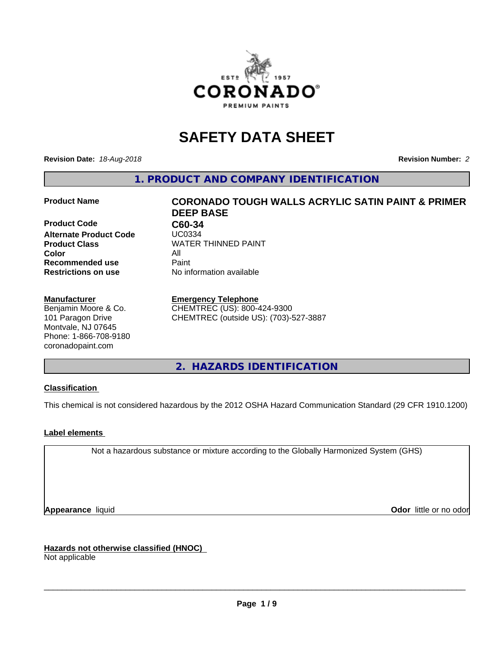

# **SAFETY DATA SHEET**

**Revision Date:** *18-Aug-2018* **Revision Number:** *2*

**1. PRODUCT AND COMPANY IDENTIFICATION**

#### **Product Name CORONADO TOUGH WALLS ACRYLIC SATIN PAINT & PRIMER**

**Product Code C60-34**<br>**Alternate Product Code CDC0334 Alternate Product Code Product Class** WATER THINNED PAINT<br>
Color **Color** All **Recommended use** Paint **Restrictions on use** No information available

#### **Manufacturer**

Benjamin Moore & Co. 101 Paragon Drive Montvale, NJ 07645 Phone: 1-866-708-9180 coronadopaint.com

# **DEEP BASE**

#### **Emergency Telephone**

CHEMTREC (US): 800-424-9300 CHEMTREC (outside US): (703)-527-3887

**2. HAZARDS IDENTIFICATION**

#### **Classification**

This chemical is not considered hazardous by the 2012 OSHA Hazard Communication Standard (29 CFR 1910.1200)

#### **Label elements**

Not a hazardous substance or mixture according to the Globally Harmonized System (GHS)

**Appearance** liquid **Contract Contract Contract Contract Contract Contract Contract Contract Contract Contract Contract Contract Contract Contract Contract Contract Contract Contract Contract Contract Contract Contract Con** 

**Hazards not otherwise classified (HNOC)**

Not applicable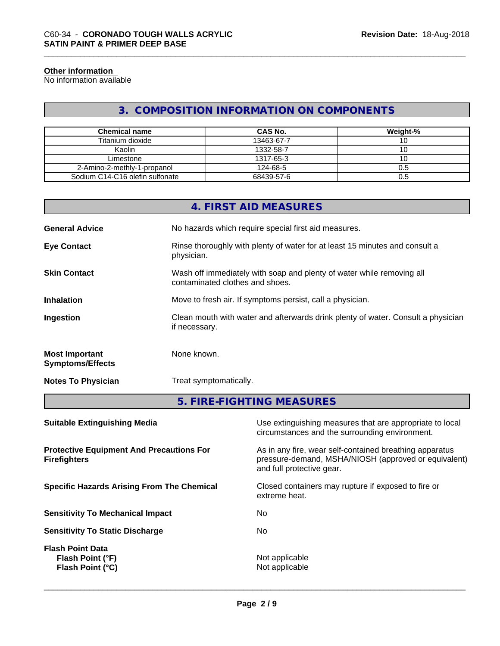#### **Other information**

No information available

#### **3. COMPOSITION INFORMATION ON COMPONENTS**

| Chemical name                   | CAS No.    | Weight-% |
|---------------------------------|------------|----------|
| Titanium dioxide                | 13463-67-7 |          |
| Kaolin                          | 1332-58-7  | ◡        |
| Limestone                       | 1317-65-3  |          |
| 2-Amino-2-methly-1-propanol     | 124-68-5   | U.5      |
| Sodium C14-C16 olefin sulfonate | 68439-57-6 | 0.5      |

|                                                  | 4. FIRST AID MEASURES                                                                                    |
|--------------------------------------------------|----------------------------------------------------------------------------------------------------------|
| <b>General Advice</b>                            | No hazards which require special first aid measures.                                                     |
| <b>Eye Contact</b>                               | Rinse thoroughly with plenty of water for at least 15 minutes and consult a<br>physician.                |
| <b>Skin Contact</b>                              | Wash off immediately with soap and plenty of water while removing all<br>contaminated clothes and shoes. |
| <b>Inhalation</b>                                | Move to fresh air. If symptoms persist, call a physician.                                                |
| Ingestion                                        | Clean mouth with water and afterwards drink plenty of water. Consult a physician<br>if necessary.        |
| <b>Most Important</b><br><b>Symptoms/Effects</b> | None known.                                                                                              |
| <b>Notes To Physician</b>                        | Treat symptomatically.                                                                                   |
|                                                  | 5. FIRE-FIGHTING MEASURES                                                                                |

| Use extinguishing measures that are appropriate to local<br>circumstances and the surrounding environment.                                   |
|----------------------------------------------------------------------------------------------------------------------------------------------|
| As in any fire, wear self-contained breathing apparatus<br>pressure-demand, MSHA/NIOSH (approved or equivalent)<br>and full protective gear. |
| Closed containers may rupture if exposed to fire or<br>extreme heat.                                                                         |
| No.                                                                                                                                          |
| No                                                                                                                                           |
| Not applicable<br>Not applicable                                                                                                             |
|                                                                                                                                              |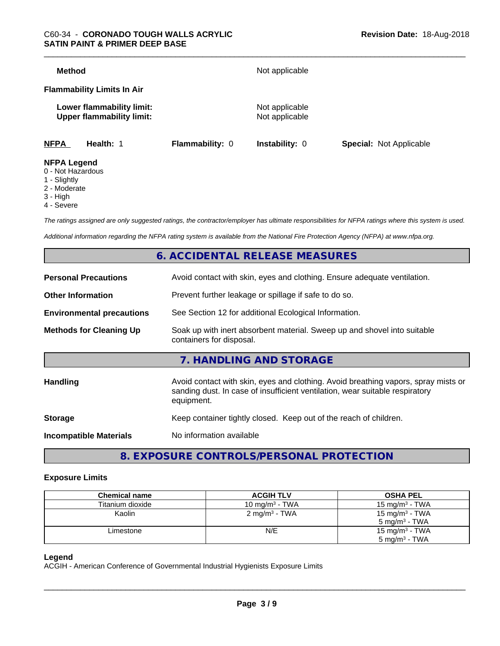| <b>Method</b>                           |                                                               |                        | Not applicable                   |                                |
|-----------------------------------------|---------------------------------------------------------------|------------------------|----------------------------------|--------------------------------|
|                                         | <b>Flammability Limits In Air</b>                             |                        |                                  |                                |
|                                         | Lower flammability limit:<br><b>Upper flammability limit:</b> |                        | Not applicable<br>Not applicable |                                |
| <b>NFPA</b>                             | Health: 1                                                     | <b>Flammability: 0</b> | <b>Instability: 0</b>            | <b>Special: Not Applicable</b> |
| <b>NFPA Legend</b><br>0 - Not Hazardous |                                                               |                        |                                  |                                |

- 
- 1 Slightly
- 2 Moderate
- 3 High
- 4 Severe

*The ratings assigned are only suggested ratings, the contractor/employer has ultimate responsibilities for NFPA ratings where this system is used.*

*Additional information regarding the NFPA rating system is available from the National Fire Protection Agency (NFPA) at www.nfpa.org.*

#### **6. ACCIDENTAL RELEASE MEASURES**

| <b>Personal Precautions</b>      | Avoid contact with skin, eyes and clothing. Ensure adequate ventilation.                                                                                                         |  |
|----------------------------------|----------------------------------------------------------------------------------------------------------------------------------------------------------------------------------|--|
| <b>Other Information</b>         | Prevent further leakage or spillage if safe to do so.                                                                                                                            |  |
| <b>Environmental precautions</b> | See Section 12 for additional Ecological Information.                                                                                                                            |  |
| <b>Methods for Cleaning Up</b>   | Soak up with inert absorbent material. Sweep up and shovel into suitable<br>containers for disposal.                                                                             |  |
|                                  | 7. HANDLING AND STORAGE                                                                                                                                                          |  |
| <b>Handling</b>                  | Avoid contact with skin, eyes and clothing. Avoid breathing vapors, spray mists or<br>sanding dust. In case of insufficient ventilation, wear suitable respiratory<br>equipment. |  |
| <b>Storage</b>                   | Keep container tightly closed. Keep out of the reach of children.                                                                                                                |  |
| <b>Incompatible Materials</b>    | No information available                                                                                                                                                         |  |
|                                  |                                                                                                                                                                                  |  |

**8. EXPOSURE CONTROLS/PERSONAL PROTECTION**

#### **Exposure Limits**

| <b>Chemical name</b> | <b>ACGIH TLV</b>          | <b>OSHA PEL</b>            |
|----------------------|---------------------------|----------------------------|
| Titanium dioxide     | $10 \text{ mg/m}^3$ - TWA | 15 mg/m $3$ - TWA          |
| Kaolin               | $2 \text{ mg/m}^3$ - TWA  | 15 mg/m <sup>3</sup> - TWA |
|                      |                           | $5 \text{ mg/m}^3$ - TWA   |
| Limestone            | N/E                       | 15 mg/m <sup>3</sup> - TWA |
|                      |                           | $5 \text{ mg/m}^3$ - TWA   |

#### **Legend**

ACGIH - American Conference of Governmental Industrial Hygienists Exposure Limits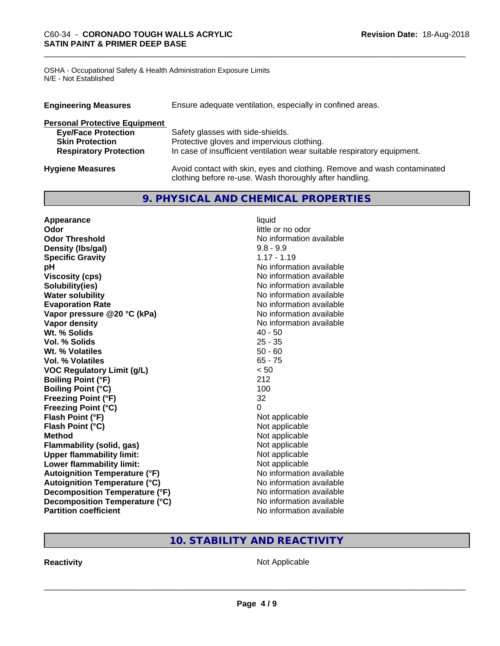OSHA - Occupational Safety & Health Administration Exposure Limits N/E - Not Established

| <b>Engineering Measures</b>          | Ensure adequate ventilation, especially in confined areas.                                                                          |
|--------------------------------------|-------------------------------------------------------------------------------------------------------------------------------------|
| <b>Personal Protective Equipment</b> |                                                                                                                                     |
| <b>Eye/Face Protection</b>           | Safety glasses with side-shields.                                                                                                   |
| <b>Skin Protection</b>               | Protective gloves and impervious clothing.                                                                                          |
| <b>Respiratory Protection</b>        | In case of insufficient ventilation wear suitable respiratory equipment.                                                            |
| <b>Hygiene Measures</b>              | Avoid contact with skin, eyes and clothing. Remove and wash contaminated<br>clothing before re-use. Wash thoroughly after handling. |

#### **9. PHYSICAL AND CHEMICAL PROPERTIES**

| Appearance                           | liquid                   |
|--------------------------------------|--------------------------|
| Odor                                 | little or no odor        |
| <b>Odor Threshold</b>                | No information available |
| Density (Ibs/gal)                    | $9.8 - 9.9$              |
| <b>Specific Gravity</b>              | $1.17 - 1.19$            |
| pH                                   | No information available |
| <b>Viscosity (cps)</b>               | No information available |
| Solubility(ies)                      | No information available |
| <b>Water solubility</b>              | No information available |
| <b>Evaporation Rate</b>              | No information available |
| Vapor pressure @20 °C (kPa)          | No information available |
| Vapor density                        | No information available |
| Wt. % Solids                         | $40 - 50$                |
| Vol. % Solids                        | $25 - 35$                |
| Wt. % Volatiles                      | $50 - 60$                |
| Vol. % Volatiles                     | $65 - 75$                |
| <b>VOC Regulatory Limit (g/L)</b>    | < 50                     |
| <b>Boiling Point (°F)</b>            | 212                      |
| <b>Boiling Point (°C)</b>            | 100                      |
| <b>Freezing Point (°F)</b>           | 32                       |
| <b>Freezing Point (°C)</b>           | 0                        |
| Flash Point (°F)                     | Not applicable           |
| Flash Point (°C)                     | Not applicable           |
| <b>Method</b>                        | Not applicable           |
| <b>Flammability (solid, gas)</b>     | Not applicable           |
| <b>Upper flammability limit:</b>     | Not applicable           |
| Lower flammability limit:            | Not applicable           |
| <b>Autoignition Temperature (°F)</b> | No information available |
| <b>Autoignition Temperature (°C)</b> | No information available |
| Decomposition Temperature (°F)       | No information available |
| Decomposition Temperature (°C)       | No information available |
| <b>Partition coefficient</b>         | No information available |

## **10. STABILITY AND REACTIVITY**

**Reactivity Not Applicable** Not Applicable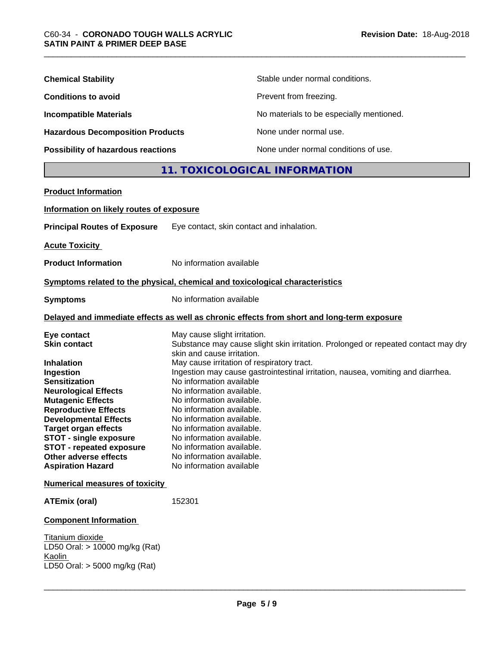| <b>Chemical Stability</b>               | Stable under normal conditions.          |
|-----------------------------------------|------------------------------------------|
| <b>Conditions to avoid</b>              | Prevent from freezing.                   |
| <b>Incompatible Materials</b>           | No materials to be especially mentioned. |
| <b>Hazardous Decomposition Products</b> | None under normal use.                   |
| Possibility of hazardous reactions      | None under normal conditions of use.     |

### **11. TOXICOLOGICAL INFORMATION**

| <b>Product Information</b>                                                                                                                                                                                                                                                                                                                                                                                       |                                                                                                                                                                                                                                                                                                                                                                                                                                                                                                                                                                                  |
|------------------------------------------------------------------------------------------------------------------------------------------------------------------------------------------------------------------------------------------------------------------------------------------------------------------------------------------------------------------------------------------------------------------|----------------------------------------------------------------------------------------------------------------------------------------------------------------------------------------------------------------------------------------------------------------------------------------------------------------------------------------------------------------------------------------------------------------------------------------------------------------------------------------------------------------------------------------------------------------------------------|
| Information on likely routes of exposure                                                                                                                                                                                                                                                                                                                                                                         |                                                                                                                                                                                                                                                                                                                                                                                                                                                                                                                                                                                  |
| <b>Principal Routes of Exposure</b>                                                                                                                                                                                                                                                                                                                                                                              | Eye contact, skin contact and inhalation.                                                                                                                                                                                                                                                                                                                                                                                                                                                                                                                                        |
| <b>Acute Toxicity</b>                                                                                                                                                                                                                                                                                                                                                                                            |                                                                                                                                                                                                                                                                                                                                                                                                                                                                                                                                                                                  |
| <b>Product Information</b>                                                                                                                                                                                                                                                                                                                                                                                       | No information available                                                                                                                                                                                                                                                                                                                                                                                                                                                                                                                                                         |
|                                                                                                                                                                                                                                                                                                                                                                                                                  | Symptoms related to the physical, chemical and toxicological characteristics                                                                                                                                                                                                                                                                                                                                                                                                                                                                                                     |
| <b>Symptoms</b>                                                                                                                                                                                                                                                                                                                                                                                                  | No information available                                                                                                                                                                                                                                                                                                                                                                                                                                                                                                                                                         |
|                                                                                                                                                                                                                                                                                                                                                                                                                  | Delayed and immediate effects as well as chronic effects from short and long-term exposure                                                                                                                                                                                                                                                                                                                                                                                                                                                                                       |
| Eye contact<br><b>Skin contact</b><br>Inhalation<br>Ingestion<br><b>Sensitization</b><br><b>Neurological Effects</b><br><b>Mutagenic Effects</b><br><b>Reproductive Effects</b><br><b>Developmental Effects</b><br><b>Target organ effects</b><br><b>STOT - single exposure</b><br><b>STOT - repeated exposure</b><br>Other adverse effects<br><b>Aspiration Hazard</b><br><b>Numerical measures of toxicity</b> | May cause slight irritation.<br>Substance may cause slight skin irritation. Prolonged or repeated contact may dry<br>skin and cause irritation.<br>May cause irritation of respiratory tract.<br>Ingestion may cause gastrointestinal irritation, nausea, vomiting and diarrhea.<br>No information available<br>No information available.<br>No information available.<br>No information available.<br>No information available.<br>No information available.<br>No information available.<br>No information available.<br>No information available.<br>No information available |
| <b>ATEmix (oral)</b>                                                                                                                                                                                                                                                                                                                                                                                             | 152301                                                                                                                                                                                                                                                                                                                                                                                                                                                                                                                                                                           |
| <b>Component Information</b>                                                                                                                                                                                                                                                                                                                                                                                     |                                                                                                                                                                                                                                                                                                                                                                                                                                                                                                                                                                                  |
| Titanium dioxide<br>LD50 Oral: > 10000 mg/kg (Rat)<br>Kaolin<br>LD50 Oral: > 5000 mg/kg (Rat)                                                                                                                                                                                                                                                                                                                    |                                                                                                                                                                                                                                                                                                                                                                                                                                                                                                                                                                                  |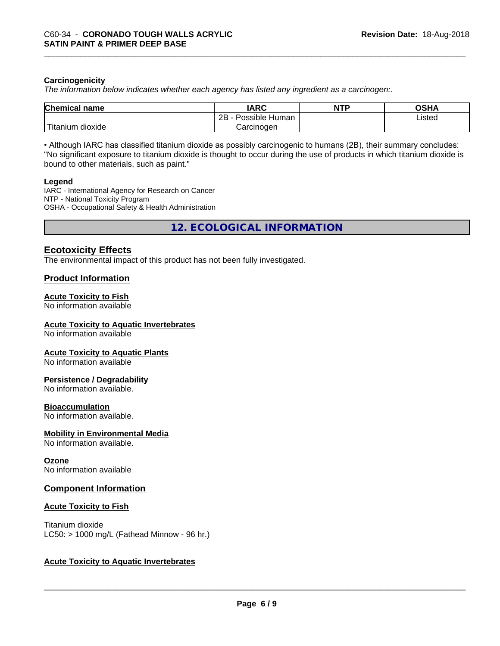#### **Carcinogenicity**

*The information below indicateswhether each agency has listed any ingredient as a carcinogen:.*

| <b>Chemical name</b>         | <b>IARC</b>          | <b>NTP</b> | <b>OSHA</b> |
|------------------------------|----------------------|------------|-------------|
|                              | 2B<br>Possible Human |            | Listed      |
| l mu<br>dioxide<br>l itanıum | Carcinogen           |            |             |

• Although IARC has classified titanium dioxide as possibly carcinogenic to humans (2B), their summary concludes: "No significant exposure to titanium dioxide is thought to occur during the use of products in which titanium dioxide is bound to other materials, such as paint."

#### **Legend**

IARC - International Agency for Research on Cancer NTP - National Toxicity Program OSHA - Occupational Safety & Health Administration

**12. ECOLOGICAL INFORMATION**

#### **Ecotoxicity Effects**

The environmental impact of this product has not been fully investigated.

#### **Product Information**

#### **Acute Toxicity to Fish**

No information available

#### **Acute Toxicity to Aquatic Invertebrates**

No information available

#### **Acute Toxicity to Aquatic Plants**

No information available

#### **Persistence / Degradability**

No information available.

#### **Bioaccumulation**

No information available.

#### **Mobility in Environmental Media**

No information available.

#### **Ozone**

No information available

#### **Component Information**

#### **Acute Toxicity to Fish**

Titanium dioxide  $LC50:$  > 1000 mg/L (Fathead Minnow - 96 hr.)

#### **Acute Toxicity to Aquatic Invertebrates**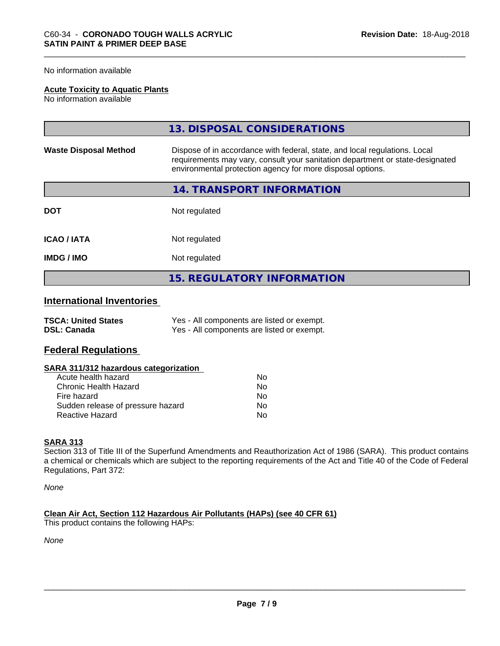No information available

#### **Acute Toxicity to Aquatic Plants**

No information available

|                              | 13. DISPOSAL CONSIDERATIONS                                                                                                                                                                                               |
|------------------------------|---------------------------------------------------------------------------------------------------------------------------------------------------------------------------------------------------------------------------|
| <b>Waste Disposal Method</b> | Dispose of in accordance with federal, state, and local regulations. Local<br>requirements may vary, consult your sanitation department or state-designated<br>environmental protection agency for more disposal options. |
|                              | 14. TRANSPORT INFORMATION                                                                                                                                                                                                 |
| <b>DOT</b>                   | Not regulated                                                                                                                                                                                                             |
| <b>ICAO/IATA</b>             | Not regulated                                                                                                                                                                                                             |
| <b>IMDG / IMO</b>            | Not regulated                                                                                                                                                                                                             |
|                              | <b>15. REGULATORY INFORMATION</b>                                                                                                                                                                                         |

#### **International Inventories**

| <b>TSCA: United States</b> | Yes - All components are listed or exempt. |
|----------------------------|--------------------------------------------|
| <b>DSL: Canada</b>         | Yes - All components are listed or exempt. |

#### **Federal Regulations**

| SARA 311/312 hazardous categorization |  |
|---------------------------------------|--|
|---------------------------------------|--|

| Acute health hazard               | Nο |
|-----------------------------------|----|
| Chronic Health Hazard             | N٥ |
| Fire hazard                       | N٥ |
| Sudden release of pressure hazard | N٥ |
| Reactive Hazard                   | N٥ |

#### **SARA 313**

Section 313 of Title III of the Superfund Amendments and Reauthorization Act of 1986 (SARA). This product contains a chemical or chemicals which are subject to the reporting requirements of the Act and Title 40 of the Code of Federal Regulations, Part 372:

*None*

**Clean Air Act,Section 112 Hazardous Air Pollutants (HAPs) (see 40 CFR 61)** This product contains the following HAPs:

*None*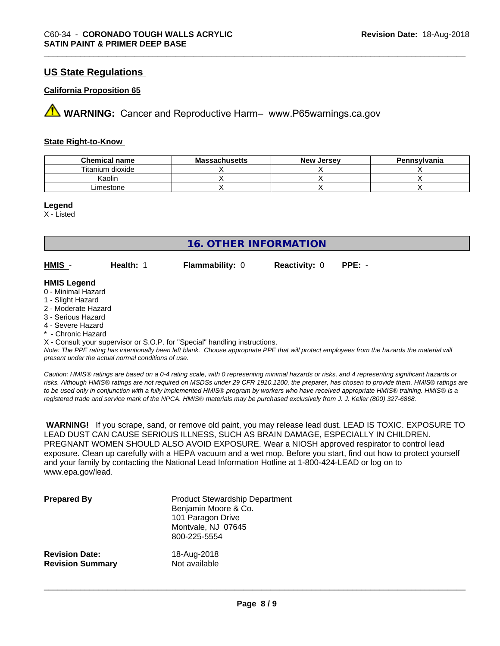#### **US State Regulations**

#### **California Proposition 65**

**AN** WARNING: Cancer and Reproductive Harm– www.P65warnings.ca.gov

#### **State Right-to-Know**

| <b>Chemical name</b>     | --<br><b>Massachusetts</b> | . Jersev<br><b>New</b> | Pennsylvania |
|--------------------------|----------------------------|------------------------|--------------|
| --<br>itanium<br>dioxide |                            |                        |              |
| Kaolin                   |                            |                        |              |
| _imestone                |                            |                        |              |

**Legend**

X - Listed

| <b>16. OTHER INFORMATION</b>                                                                                                                          |                                                    |                                                                            |                      |                                                                                                                                               |
|-------------------------------------------------------------------------------------------------------------------------------------------------------|----------------------------------------------------|----------------------------------------------------------------------------|----------------------|-----------------------------------------------------------------------------------------------------------------------------------------------|
| HMIS -                                                                                                                                                | Health: 1                                          | <b>Flammability: 0</b>                                                     | <b>Reactivity: 0</b> | $PPE: -$                                                                                                                                      |
| <b>HMIS Legend</b><br>0 - Minimal Hazard<br>1 - Slight Hazard<br>2 - Moderate Hazard<br>3 - Serious Hazard<br>4 - Severe Hazard<br>* - Chronic Hazard | present under the actual normal conditions of use. | X - Consult your supervisor or S.O.P. for "Special" handling instructions. |                      | Note: The PPE rating has intentionally been left blank. Choose appropriate PPE that will protect employees from the hazards the material will |

*Caution: HMISÒ ratings are based on a 0-4 rating scale, with 0 representing minimal hazards or risks, and 4 representing significant hazards or risks. Although HMISÒ ratings are not required on MSDSs under 29 CFR 1910.1200, the preparer, has chosen to provide them. HMISÒ ratings are to be used only in conjunction with a fully implemented HMISÒ program by workers who have received appropriate HMISÒ training. HMISÒ is a registered trade and service mark of the NPCA. HMISÒ materials may be purchased exclusively from J. J. Keller (800) 327-6868.*

 **WARNING!** If you scrape, sand, or remove old paint, you may release lead dust. LEAD IS TOXIC. EXPOSURE TO LEAD DUST CAN CAUSE SERIOUS ILLNESS, SUCH AS BRAIN DAMAGE, ESPECIALLY IN CHILDREN. PREGNANT WOMEN SHOULD ALSO AVOID EXPOSURE.Wear a NIOSH approved respirator to control lead exposure. Clean up carefully with a HEPA vacuum and a wet mop. Before you start, find out how to protect yourself and your family by contacting the National Lead Information Hotline at 1-800-424-LEAD or log on to www.epa.gov/lead.

| <b>Prepared By</b>      | <b>Product Stewardship Department</b><br>Benjamin Moore & Co.<br>101 Paragon Drive<br>Montvale, NJ 07645<br>800-225-5554 |
|-------------------------|--------------------------------------------------------------------------------------------------------------------------|
| <b>Revision Date:</b>   | 18-Aug-2018                                                                                                              |
| <b>Revision Summary</b> | Not available                                                                                                            |